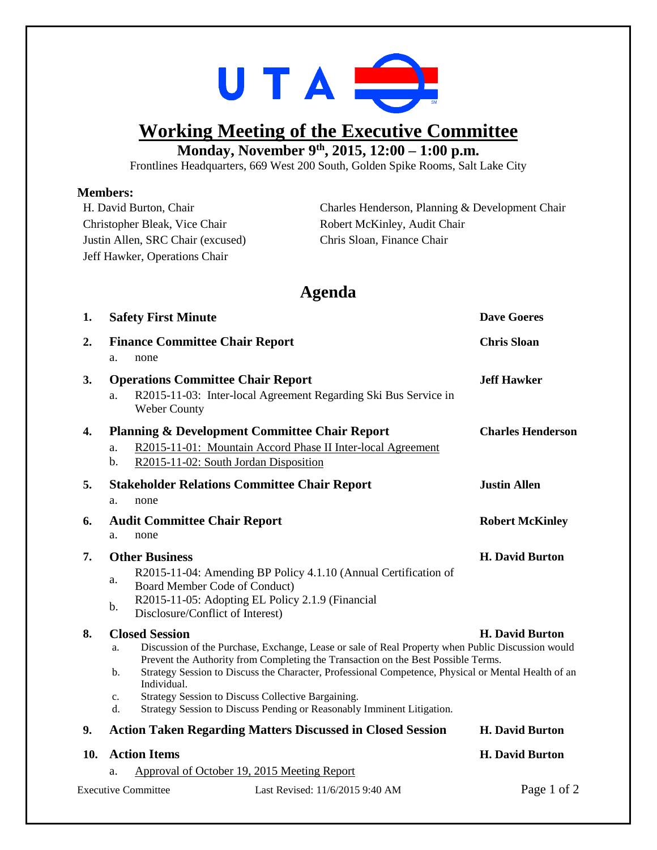

## **Working Meeting of the Executive Committee Monday, November 9th , 2015, 12:00 – 1:00 p.m.**

Frontlines Headquarters, 669 West 200 South, Golden Spike Rooms, Salt Lake City

## **Members:**

| H. David Burton, Chair            | Charles Henderson, Planning & Development Chair |
|-----------------------------------|-------------------------------------------------|
| Christopher Bleak, Vice Chair     | Robert McKinley, Audit Chair                    |
| Justin Allen, SRC Chair (excused) | Chris Sloan, Finance Chair                      |
| Jeff Hawker, Operations Chair     |                                                 |

## **Agenda**

| 1.  | <b>Safety First Minute</b>                                                                                                                                                                                                                                                                                                                                                                                                                                                                                              |                                                                                                                                                                                          | <b>Dave Goeres</b>       |  |
|-----|-------------------------------------------------------------------------------------------------------------------------------------------------------------------------------------------------------------------------------------------------------------------------------------------------------------------------------------------------------------------------------------------------------------------------------------------------------------------------------------------------------------------------|------------------------------------------------------------------------------------------------------------------------------------------------------------------------------------------|--------------------------|--|
| 2.  | <b>Finance Committee Chair Report</b><br>none<br>a.                                                                                                                                                                                                                                                                                                                                                                                                                                                                     |                                                                                                                                                                                          | <b>Chris Sloan</b>       |  |
| 3.  | <b>Operations Committee Chair Report</b><br>R2015-11-03: Inter-local Agreement Regarding Ski Bus Service in<br>a.<br><b>Weber County</b>                                                                                                                                                                                                                                                                                                                                                                                |                                                                                                                                                                                          | <b>Jeff Hawker</b>       |  |
| 4.  | a.<br>b.                                                                                                                                                                                                                                                                                                                                                                                                                                                                                                                | <b>Planning &amp; Development Committee Chair Report</b><br>R2015-11-01: Mountain Accord Phase II Inter-local Agreement<br>R2015-11-02: South Jordan Disposition                         | <b>Charles Henderson</b> |  |
| 5.  | <b>Justin Allen</b><br><b>Stakeholder Relations Committee Chair Report</b><br>none<br>a.                                                                                                                                                                                                                                                                                                                                                                                                                                |                                                                                                                                                                                          |                          |  |
| 6.  | <b>Audit Committee Chair Report</b><br>none<br>a.                                                                                                                                                                                                                                                                                                                                                                                                                                                                       |                                                                                                                                                                                          | <b>Robert McKinley</b>   |  |
| 7.  | <b>Other Business</b><br>a.<br>b.                                                                                                                                                                                                                                                                                                                                                                                                                                                                                       | R2015-11-04: Amending BP Policy 4.1.10 (Annual Certification of<br>Board Member Code of Conduct)<br>R2015-11-05: Adopting EL Policy 2.1.9 (Financial<br>Disclosure/Conflict of Interest) | <b>H. David Burton</b>   |  |
| 8.  | <b>Closed Session</b><br><b>H. David Burton</b><br>Discussion of the Purchase, Exchange, Lease or sale of Real Property when Public Discussion would<br>a.<br>Prevent the Authority from Completing the Transaction on the Best Possible Terms.<br>Strategy Session to Discuss the Character, Professional Competence, Physical or Mental Health of an<br>b.<br>Individual.<br>Strategy Session to Discuss Collective Bargaining.<br>c.<br>d.<br>Strategy Session to Discuss Pending or Reasonably Imminent Litigation. |                                                                                                                                                                                          |                          |  |
| 9.  | <b>Action Taken Regarding Matters Discussed in Closed Session</b>                                                                                                                                                                                                                                                                                                                                                                                                                                                       |                                                                                                                                                                                          | <b>H. David Burton</b>   |  |
| 10. | <b>Action Items</b>                                                                                                                                                                                                                                                                                                                                                                                                                                                                                                     |                                                                                                                                                                                          | <b>H. David Burton</b>   |  |
|     | a.<br><b>Executive Committee</b>                                                                                                                                                                                                                                                                                                                                                                                                                                                                                        | Approval of October 19, 2015 Meeting Report<br>Last Revised: 11/6/2015 9:40 AM                                                                                                           | Page 1 of 2              |  |